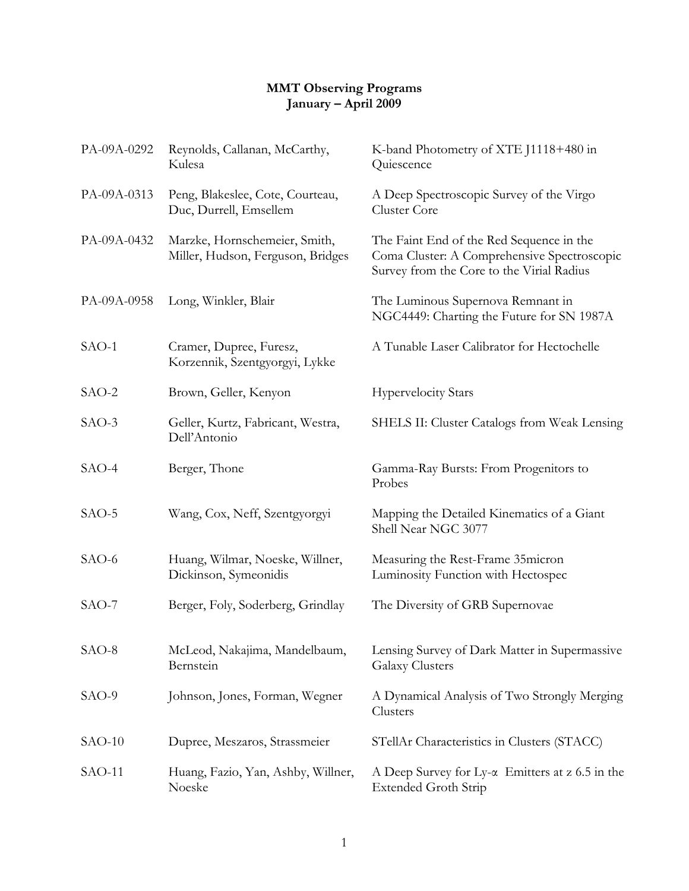## **MMT Observing Programs January – April 2009**

| PA-09A-0292 | Reynolds, Callanan, McCarthy,<br>Kulesa                            | K-band Photometry of XTE J1118+480 in<br>Quiescence                                                                                  |
|-------------|--------------------------------------------------------------------|--------------------------------------------------------------------------------------------------------------------------------------|
| PA-09A-0313 | Peng, Blakeslee, Cote, Courteau,<br>Duc, Durrell, Emsellem         | A Deep Spectroscopic Survey of the Virgo<br>Cluster Core                                                                             |
| PA-09A-0432 | Marzke, Hornschemeier, Smith,<br>Miller, Hudson, Ferguson, Bridges | The Faint End of the Red Sequence in the<br>Coma Cluster: A Comprehensive Spectroscopic<br>Survey from the Core to the Virial Radius |
| PA-09A-0958 | Long, Winkler, Blair                                               | The Luminous Supernova Remnant in<br>NGC4449: Charting the Future for SN 1987A                                                       |
| SAO-1       | Cramer, Dupree, Furesz,<br>Korzennik, Szentgyorgyi, Lykke          | A Tunable Laser Calibrator for Hectochelle                                                                                           |
| $SAO-2$     | Brown, Geller, Kenyon                                              | <b>Hypervelocity Stars</b>                                                                                                           |
| SAO-3       | Geller, Kurtz, Fabricant, Westra,<br>Dell'Antonio                  | SHELS II: Cluster Catalogs from Weak Lensing                                                                                         |
| SAO-4       | Berger, Thone                                                      | Gamma-Ray Bursts: From Progenitors to<br>Probes                                                                                      |
| SAO-5       | Wang, Cox, Neff, Szentgyorgyi                                      | Mapping the Detailed Kinematics of a Giant<br>Shell Near NGC 3077                                                                    |
| SAO-6       | Huang, Wilmar, Noeske, Willner,<br>Dickinson, Symeonidis           | Measuring the Rest-Frame 35 micron<br>Luminosity Function with Hectospec                                                             |
| $SAO-7$     | Berger, Foly, Soderberg, Grindlay                                  | The Diversity of GRB Supernovae                                                                                                      |
| SAO-8       | McLeod, Nakajima, Mandelbaum,<br>Bernstein                         | Lensing Survey of Dark Matter in Supermassive<br><b>Galaxy Clusters</b>                                                              |
| SAO-9       | Johnson, Jones, Forman, Wegner                                     | A Dynamical Analysis of Two Strongly Merging<br>Clusters                                                                             |
| $SAO-10$    | Dupree, Meszaros, Strassmeier                                      | STellAr Characteristics in Clusters (STACC)                                                                                          |
| $SAO-11$    | Huang, Fazio, Yan, Ashby, Willner,<br>Noeske                       | A Deep Survey for Ly- $\alpha$ Emitters at z 6.5 in the<br><b>Extended Groth Strip</b>                                               |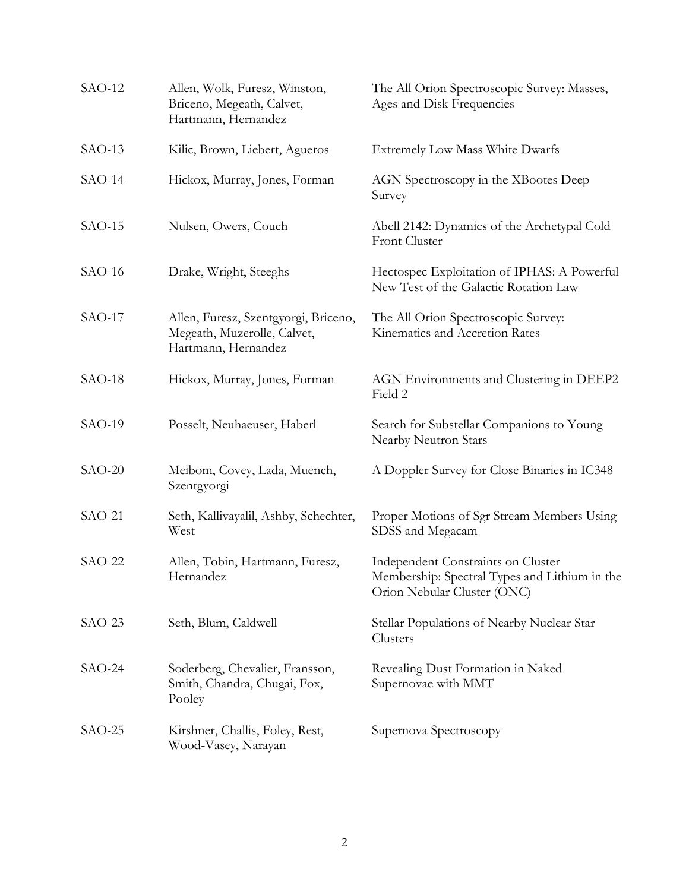| $SAO-12$ | Allen, Wolk, Furesz, Winston,<br>Briceno, Megeath, Calvet,<br>Hartmann, Hernandez          | The All Orion Spectroscopic Survey: Masses,<br>Ages and Disk Frequencies                                           |
|----------|--------------------------------------------------------------------------------------------|--------------------------------------------------------------------------------------------------------------------|
| $SAO-13$ | Kilic, Brown, Liebert, Agueros                                                             | <b>Extremely Low Mass White Dwarfs</b>                                                                             |
| $SAO-14$ | Hickox, Murray, Jones, Forman                                                              | AGN Spectroscopy in the XBootes Deep<br>Survey                                                                     |
| $SAO-15$ | Nulsen, Owers, Couch                                                                       | Abell 2142: Dynamics of the Archetypal Cold<br><b>Front Cluster</b>                                                |
| $SAO-16$ | Drake, Wright, Steeghs                                                                     | Hectospec Exploitation of IPHAS: A Powerful<br>New Test of the Galactic Rotation Law                               |
| $SAO-17$ | Allen, Furesz, Szentgyorgi, Briceno,<br>Megeath, Muzerolle, Calvet,<br>Hartmann, Hernandez | The All Orion Spectroscopic Survey:<br>Kinematics and Accretion Rates                                              |
| $SAO-18$ | Hickox, Murray, Jones, Forman                                                              | AGN Environments and Clustering in DEEP2<br>Field 2                                                                |
| $SAO-19$ | Posselt, Neuhaeuser, Haberl                                                                | Search for Substellar Companions to Young<br>Nearby Neutron Stars                                                  |
| $SAO-20$ | Meibom, Covey, Lada, Muench,<br>Szentgyorgi                                                | A Doppler Survey for Close Binaries in IC348                                                                       |
| $SAO-21$ | Seth, Kallivayalil, Ashby, Schechter,<br>West                                              | Proper Motions of Sgr Stream Members Using<br>SDSS and Megacam                                                     |
| $SAO-22$ | Allen, Tobin, Hartmann, Furesz,<br>Hernandez                                               | Independent Constraints on Cluster<br>Membership: Spectral Types and Lithium in the<br>Orion Nebular Cluster (ONC) |
| $SAO-23$ | Seth, Blum, Caldwell                                                                       | Stellar Populations of Nearby Nuclear Star<br>Clusters                                                             |
| $SAO-24$ | Soderberg, Chevalier, Fransson,<br>Smith, Chandra, Chugai, Fox,<br>Pooley                  | Revealing Dust Formation in Naked<br>Supernovae with MMT                                                           |
| $SAO-25$ | Kirshner, Challis, Foley, Rest,<br>Wood-Vasey, Narayan                                     | Supernova Spectroscopy                                                                                             |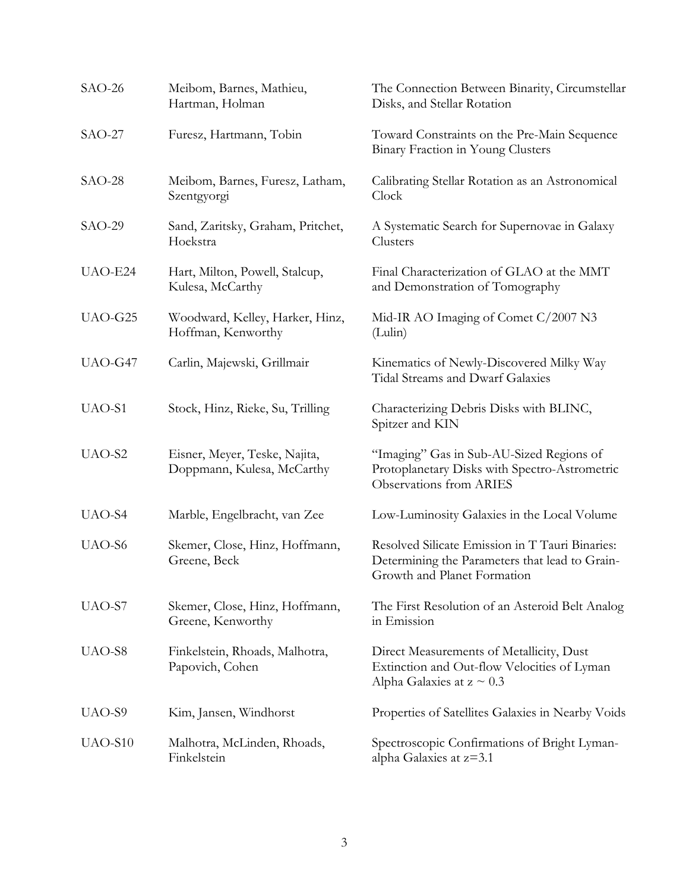| $SAO-26$           | Meibom, Barnes, Mathieu,<br>Hartman, Holman                 | The Connection Between Binarity, Circumstellar<br>Disks, and Stellar Rotation                                                    |
|--------------------|-------------------------------------------------------------|----------------------------------------------------------------------------------------------------------------------------------|
| $SAO-27$           | Furesz, Hartmann, Tobin                                     | Toward Constraints on the Pre-Main Sequence<br>Binary Fraction in Young Clusters                                                 |
| $SAO-28$           | Meibom, Barnes, Furesz, Latham,<br>Szentgyorgi              | Calibrating Stellar Rotation as an Astronomical<br>Clock                                                                         |
| $SAO-29$           | Sand, Zaritsky, Graham, Pritchet,<br>Hoekstra               | A Systematic Search for Supernovae in Galaxy<br>Clusters                                                                         |
| UAO-E24            | Hart, Milton, Powell, Stalcup,<br>Kulesa, McCarthy          | Final Characterization of GLAO at the MMT<br>and Demonstration of Tomography                                                     |
| UAO-G25            | Woodward, Kelley, Harker, Hinz,<br>Hoffman, Kenworthy       | Mid-IR AO Imaging of Comet C/2007 N3<br>(Lulin)                                                                                  |
| UAO-G47            | Carlin, Majewski, Grillmair                                 | Kinematics of Newly-Discovered Milky Way<br><b>Tidal Streams and Dwarf Galaxies</b>                                              |
| UAO-S1             | Stock, Hinz, Rieke, Su, Trilling                            | Characterizing Debris Disks with BLINC,<br>Spitzer and KIN                                                                       |
| UAO-S2             | Eisner, Meyer, Teske, Najita,<br>Doppmann, Kulesa, McCarthy | "Imaging" Gas in Sub-AU-Sized Regions of<br>Protoplanetary Disks with Spectro-Astrometric<br><b>Observations from ARIES</b>      |
| UAO-S4             | Marble, Engelbracht, van Zee                                | Low-Luminosity Galaxies in the Local Volume                                                                                      |
| UAO-S6             | Skemer, Close, Hinz, Hoffmann,<br>Greene, Beck              | Resolved Silicate Emission in T Tauri Binaries:<br>Determining the Parameters that lead to Grain-<br>Growth and Planet Formation |
| UAO-S7             | Skemer, Close, Hinz, Hoffmann,<br>Greene, Kenworthy         | The First Resolution of an Asteroid Belt Analog<br>in Emission                                                                   |
| UAO-S8             | Finkelstein, Rhoads, Malhotra,<br>Papovich, Cohen           | Direct Measurements of Metallicity, Dust<br>Extinction and Out-flow Velocities of Lyman<br>Alpha Galaxies at $z \sim 0.3$        |
| UAO-S <sub>9</sub> | Kim, Jansen, Windhorst                                      | Properties of Satellites Galaxies in Nearby Voids                                                                                |
| UAO-S10            | Malhotra, McLinden, Rhoads,<br>Finkelstein                  | Spectroscopic Confirmations of Bright Lyman-<br>alpha Galaxies at z=3.1                                                          |